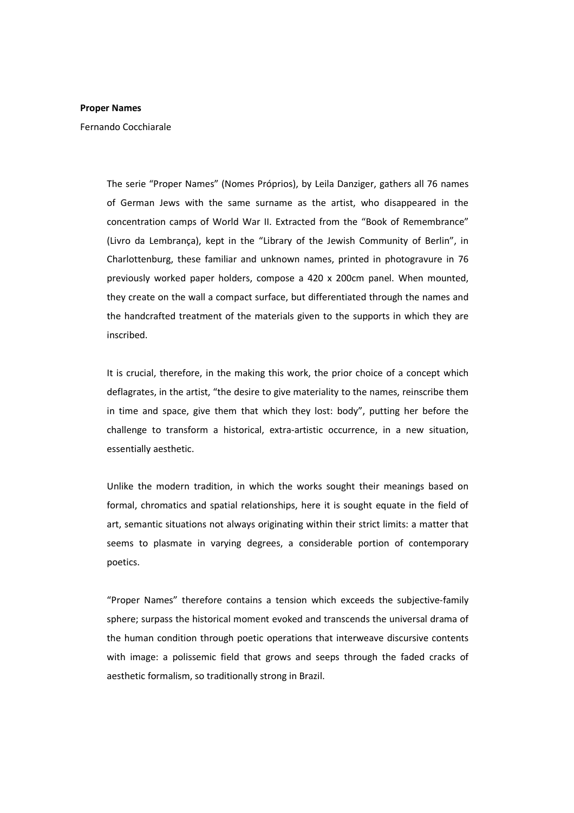## **Proper Names**

Fernando Cocchiarale

The serie "Proper Names" (Nomes Próprios), by Leila Danziger, gathers all 76 names of German Jews with the same surname as the artist, who disappeared in the concentration camps of World War II. Extracted from the "Book of Remembrance" (Livro da Lembrança), kept in the "Library of the Jewish Community of Berlin", in Charlottenburg, these familiar and unknown names, printed in photogravure in 76 previously worked paper holders, compose a 420 x 200cm panel. When mounted, they create on the wall a compact surface, but differentiated through the names and the handcrafted treatment of the materials given to the supports in which they are inscribed.

It is crucial, therefore, in the making this work, the prior choice of a concept which deflagrates, in the artist, "the desire to give materiality to the names, reinscribe them in time and space, give them that which they lost: body", putting her before the challenge to transform a historical, extra-artistic occurrence, in a new situation, essentially aesthetic.

Unlike the modern tradition, in which the works sought their meanings based on formal, chromatics and spatial relationships, here it is sought equate in the field of art, semantic situations not always originating within their strict limits: a matter that seems to plasmate in varying degrees, a considerable portion of contemporary poetics.

"Proper Names" therefore contains a tension which exceeds the subjective-family sphere; surpass the historical moment evoked and transcends the universal drama of the human condition through poetic operations that interweave discursive contents with image: a polissemic field that grows and seeps through the faded cracks of aesthetic formalism, so traditionally strong in Brazil.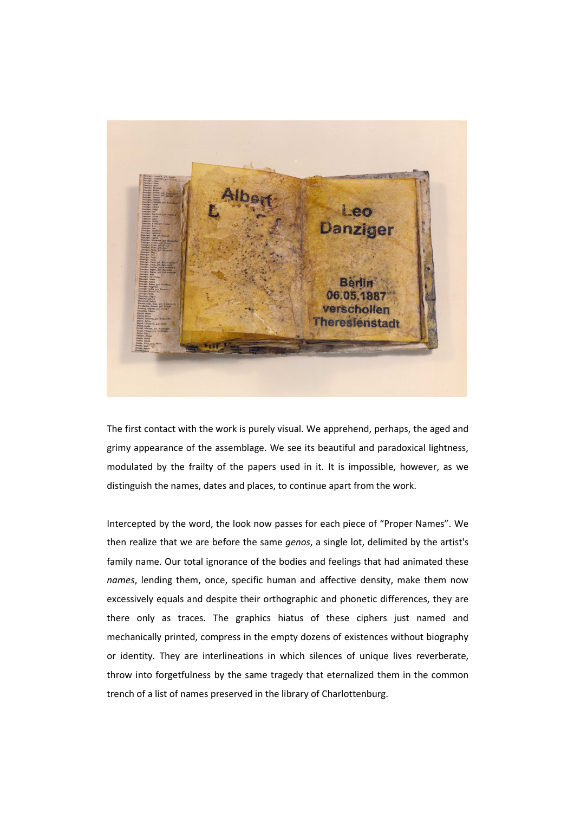

The first contact with the work is purely visual. We apprehend, perhaps, the aged and grimy appearance of the assemblage. We see its beautiful and paradoxical lightness, modulated by the frailty of the papers used in it. It is impossible, however, as we distinguish the names, dates and places, to continue apart from the work.

Intercepted by the word, the look now passes for each piece of "Proper Names". We then realize that we are before the same *genos*, a single lot, delimited by the artist's family name. Our total ignorance of the bodies and feelings that had animated these *names*, lending them, once, specific human and affective density, make them now excessively equals and despite their orthographic and phonetic differences, they are there only as traces. The graphics hiatus of these ciphers just named and mechanically printed, compress in the empty dozens of existences without biography or identity. They are interlineations in which silences of unique lives reverberate, throw into forgetfulness by the same tragedy that eternalized them in the common trench of a list of names preserved in the library of Charlottenburg.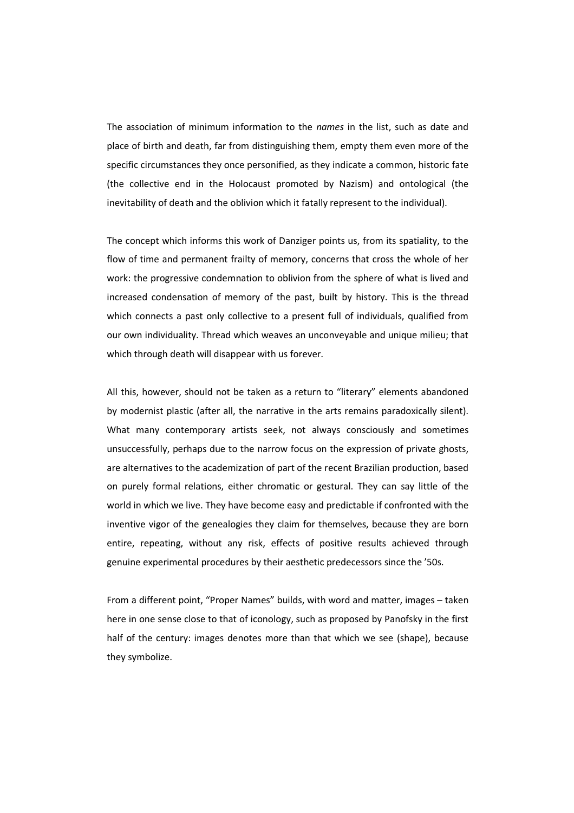The association of minimum information to the *names* in the list, such as date and place of birth and death, far from distinguishing them, empty them even more of the specific circumstances they once personified, as they indicate a common, historic fate (the collective end in the Holocaust promoted by Nazism) and ontological (the inevitability of death and the oblivion which it fatally represent to the individual).

The concept which informs this work of Danziger points us, from its spatiality, to the flow of time and permanent frailty of memory, concerns that cross the whole of her work: the progressive condemnation to oblivion from the sphere of what is lived and increased condensation of memory of the past, built by history. This is the thread which connects a past only collective to a present full of individuals, qualified from our own individuality. Thread which weaves an unconveyable and unique milieu; that which through death will disappear with us forever.

All this, however, should not be taken as a return to "literary" elements abandoned by modernist plastic (after all, the narrative in the arts remains paradoxically silent). What many contemporary artists seek, not always consciously and sometimes unsuccessfully, perhaps due to the narrow focus on the expression of private ghosts, are alternatives to the academization of part of the recent Brazilian production, based on purely formal relations, either chromatic or gestural. They can say little of the world in which we live. They have become easy and predictable if confronted with the inventive vigor of the genealogies they claim for themselves, because they are born entire, repeating, without any risk, effects of positive results achieved through genuine experimental procedures by their aesthetic predecessors since the '50s.

From a different point, "Proper Names" builds, with word and matter, images – taken here in one sense close to that of iconology, such as proposed by Panofsky in the first half of the century: images denotes more than that which we see (shape), because they symbolize.